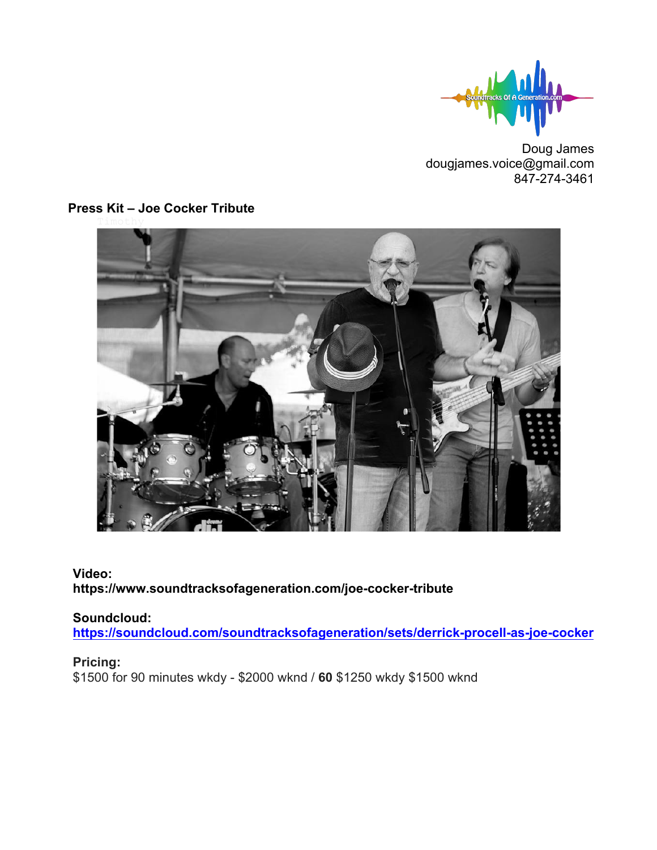

Doug James dougjames.voice@gmail.com 847-274-3461



## **Press Kit – Joe Cocker Tribute**

## **Video: https://www.soundtracksofageneration.com/joe-cocker-tribute**

# **Soundcloud:**

**https://soundcloud.com/soundtracksofageneration/sets/derrick-procell-as-joe-cocker**

### **Pricing:**

\$1500 for 90 minutes wkdy - \$2000 wknd / **60** \$1250 wkdy \$1500 wknd